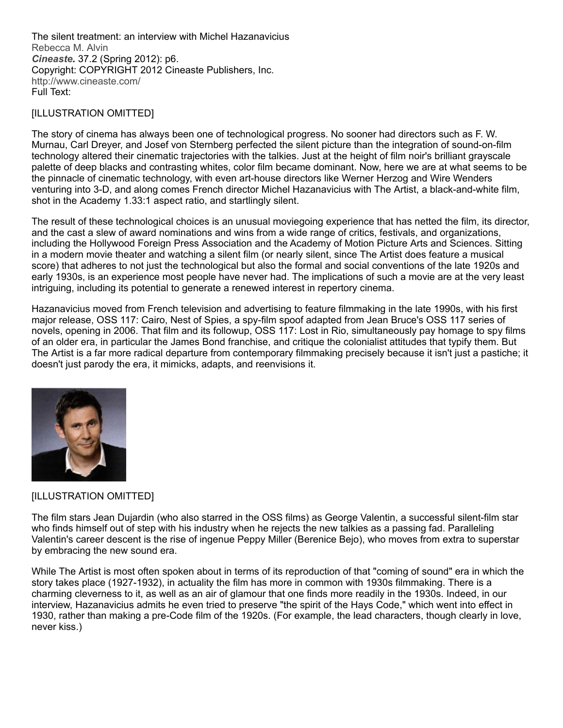The silent treatment: an interview with Michel Hazanavicius [Rebecca M. Alvin](http://go.galegroup.com.ezproxy.kcls.org/ps/advancedSearch.do?method=doSearch&searchType=AdvancedSearchForm&userGroupName=kcls&inputFieldNames[0]=AU&prodId=AONE&inputFieldValues[0]=%22Rebecca+M.+Alvin%22) [Cineaste](http://go.galegroup.com.ezproxy.kcls.org/ps/aboutJournal.do?contentModuleId=AONE&resultClickType=AboutThisPublication&actionString=DO_DISPLAY_ABOUT_PAGE&searchType=BasicSearchForm&docId=GALE%7C2528&userGroupName=kcls&inPS=true&rcDocId=GALE%7CA284015305&prodId=AONE&pubDate=120120322). 37.2 (Spring 2012): p6. Copyright: COPYRIGHT 2012 Cineaste Publishers, Inc. <http://www.cineaste.com/> Full Text:

### [ILLUSTRATION OMITTED]

The story of cinema has always been one of technological progress. No sooner had directors such as F. W. Murnau, Carl Dreyer, and Josef von Sternberg perfected the silent picture than the integration of sound-on-film technology altered their cinematic trajectories with the talkies. Just at the height of film noir's brilliant grayscale palette of deep blacks and contrasting whites, color film became dominant. Now, here we are at what seems to be the pinnacle of cinematic technology, with even art-house directors like Werner Herzog and Wire Wenders venturing into 3-D, and along comes French director Michel Hazanavicius with The Artist, a black-and-white film, shot in the Academy 1.33:1 aspect ratio, and startlingly silent.

The result of these technological choices is an unusual moviegoing experience that has netted the film, its director, and the cast a slew of award nominations and wins from a wide range of critics, festivals, and organizations, including the Hollywood Foreign Press Association and the Academy of Motion Picture Arts and Sciences. Sitting in a modern movie theater and watching a silent film (or nearly silent, since The Artist does feature a musical score) that adheres to not just the technological but also the formal and social conventions of the late 1920s and early 1930s, is an experience most people have never had. The implications of such a movie are at the very least intriguing, including its potential to generate a renewed interest in repertory cinema.

Hazanavicius moved from French television and advertising to feature filmmaking in the late 1990s, with his first major release, OSS 117: Cairo, Nest of Spies, a spy-film spoof adapted from Jean Bruce's OSS 117 series of novels, opening in 2006. That film and its followup, OSS 117: Lost in Rio, simultaneously pay homage to spy films of an older era, in particular the James Bond franchise, and critique the colonialist attitudes that typify them. But The Artist is a far more radical departure from contemporary filmmaking precisely because it isn't just a pastiche; it doesn't just parody the era, it mimicks, adapts, and reenvisions it.



# [ILLUSTRATION OMITTED]

The film stars Jean Dujardin (who also starred in the OSS films) as George Valentin, a successful silent-film star who finds himself out of step with his industry when he rejects the new talkies as a passing fad. Paralleling Valentin's career descent is the rise of ingenue Peppy Miller (Berenice Bejo), who moves from extra to superstar by embracing the new sound era.

While The Artist is most often spoken about in terms of its reproduction of that "coming of sound" era in which the story takes place (1927-1932), in actuality the film has more in common with 1930s filmmaking. There is a charming cleverness to it, as well as an air of glamour that one finds more readily in the 1930s. Indeed, in our interview, Hazanavicius admits he even tried to preserve "the spirit of the Hays Code," which went into effect in 1930, rather than making a pre-Code film of the 1920s. (For example, the lead characters, though clearly in love, never kiss.)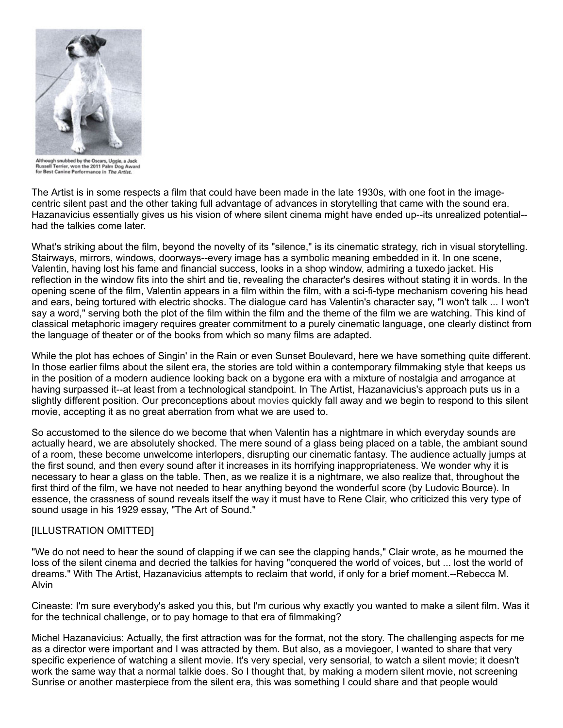

Although snubbed by the Oscars, Uggie, a Jack Russell Terrier, won the 2011 Palm Dog Award<br>for Best Canine Performance in The Artist.

The Artist is in some respects a film that could have been made in the late 1930s, with one foot in the imagecentric silent past and the other taking full advantage of advances in storytelling that came with the sound era. Hazanavicius essentially gives us his vision of where silent cinema might have ended up--its unrealized potential- had the talkies come later.

What's striking about the film, beyond the novelty of its "silence," is its cinematic strategy, rich in visual storytelling. Stairways, mirrors, windows, doorways--every image has a symbolic meaning embedded in it. In one scene, Valentin, having lost his fame and financial success, looks in a shop window, admiring a tuxedo jacket. His reflection in the window fits into the shirt and tie, revealing the character's desires without stating it in words. In the opening scene of the film, Valentin appears in a film within the film, with a sci-fi-type mechanism covering his head and ears, being tortured with electric shocks. The dialogue card has Valentin's character say, "I won't talk ... I won't say a word," serving both the plot of the film within the film and the theme of the film we are watching. This kind of classical metaphoric imagery requires greater commitment to a purely cinematic language, one clearly distinct from the language of theater or of the books from which so many films are adapted.

While the plot has echoes of Singin' in the Rain or even Sunset Boulevard, here we have something quite different. In those earlier films about the silent era, the stories are told within a contemporary filmmaking style that keeps us in the position of a modern audience looking back on a bygone era with a mixture of nostalgia and arrogance at having surpassed it--at least from a technological standpoint. In The Artist, Hazanavicius's approach puts us in a slightly different position. Our preconceptions about movies quickly fall away and we begin to respond to this silent movie, accepting it as no great aberration from what we are used to.

So accustomed to the silence do we become that when Valentin has a nightmare in which everyday sounds are actually heard, we are absolutely shocked. The mere sound of a glass being placed on a table, the ambiant sound of a room, these become unwelcome interlopers, disrupting our cinematic fantasy. The audience actually jumps at the first sound, and then every sound after it increases in its horrifying inappropriateness. We wonder why it is necessary to hear a glass on the table. Then, as we realize it is a nightmare, we also realize that, throughout the first third of the film, we have not needed to hear anything beyond the wonderful score (by Ludovic Bource). In essence, the crassness of sound reveals itself the way it must have to Rene Clair, who criticized this very type of sound usage in his 1929 essay, "The Art of Sound."

# [ILLUSTRATION OMITTED]

"We do not need to hear the sound of clapping if we can see the clapping hands," Clair wrote, as he mourned the loss of the silent cinema and decried the talkies for having "conquered the world of voices, but ... lost the world of dreams." With The Artist, Hazanavicius attempts to reclaim that world, if only for a brief moment.--Rebecca M. Alvin

Cineaste: I'm sure everybody's asked you this, but I'm curious why exactly you wanted to make a silent film. Was it for the technical challenge, or to pay homage to that era of filmmaking?

Michel Hazanavicius: Actually, the first attraction was for the format, not the story. The challenging aspects for me as a director were important and I was attracted by them. But also, as a moviegoer, I wanted to share that very specific experience of watching a silent movie. It's very special, very sensorial, to watch a silent movie; it doesn't work the same way that a normal talkie does. So I thought that, by making a modern silent movie, not screening Sunrise or another masterpiece from the silent era, this was something I could share and that people would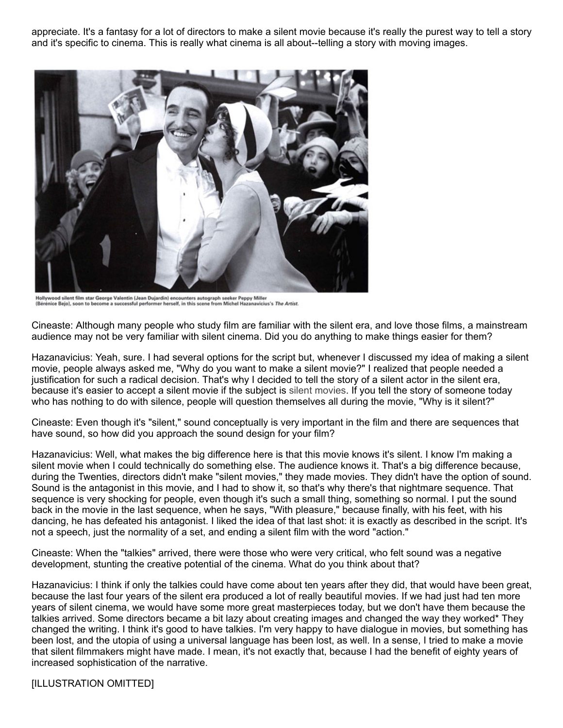appreciate. It's a fantasy for a lot of directors to make a silent movie because it's really the purest way to tell a story and it's specific to cinema. This is really what cinema is all about--telling a story with moving images.



Hollywood silent film star George Valentin (Jean Dujardin) encounters autograph seeker Peppy Miller<br>(Bérénice Bejo), soon to become a successful performer herself, in this scene from Michel Hazanavicius's The Artist.

Cineaste: Although many people who study film are familiar with the silent era, and love those films, a mainstream audience may not be very familiar with silent cinema. Did you do anything to make things easier for them?

Hazanavicius: Yeah, sure. I had several options for the script but, whenever I discussed my idea of making a silent movie, people always asked me, "Why do you want to make a silent movie?" I realized that people needed a justification for such a radical decision. That's why I decided to tell the story of a silent actor in the silent era, because it's easier to accept a silent movie if the subject is silent movies. If you tell the story of someone today who has nothing to do with silence, people will question themselves all during the movie, "Why is it silent?"

Cineaste: Even though it's "silent," sound conceptually is very important in the film and there are sequences that have sound, so how did you approach the sound design for your film?

Hazanavicius: Well, what makes the big difference here is that this movie knows it's silent. I know I'm making a silent movie when I could technically do something else. The audience knows it. That's a big difference because, during the Twenties, directors didn't make "silent movies," they made movies. They didn't have the option of sound. Sound is the antagonist in this movie, and I had to show it, so that's why there's that nightmare sequence. That sequence is very shocking for people, even though it's such a small thing, something so normal. I put the sound back in the movie in the last sequence, when he says, "With pleasure," because finally, with his feet, with his dancing, he has defeated his antagonist. I liked the idea of that last shot: it is exactly as described in the script. It's not a speech, just the normality of a set, and ending a silent film with the word "action."

Cineaste: When the "talkies" arrived, there were those who were very critical, who felt sound was a negative development, stunting the creative potential of the cinema. What do you think about that?

Hazanavicius: I think if only the talkies could have come about ten years after they did, that would have been great, because the last four years of the silent era produced a lot of really beautiful movies. If we had just had ten more years of silent cinema, we would have some more great masterpieces today, but we don't have them because the talkies arrived. Some directors became a bit lazy about creating images and changed the way they worked\* They changed the writing. I think it's good to have talkies. I'm very happy to have dialogue in movies, but something has been lost, and the utopia of using a universal language has been lost, as well. In a sense, I tried to make a movie that silent filmmakers might have made. I mean, it's not exactly that, because I had the benefit of eighty years of increased sophistication of the narrative.

[ILLUSTRATION OMITTED]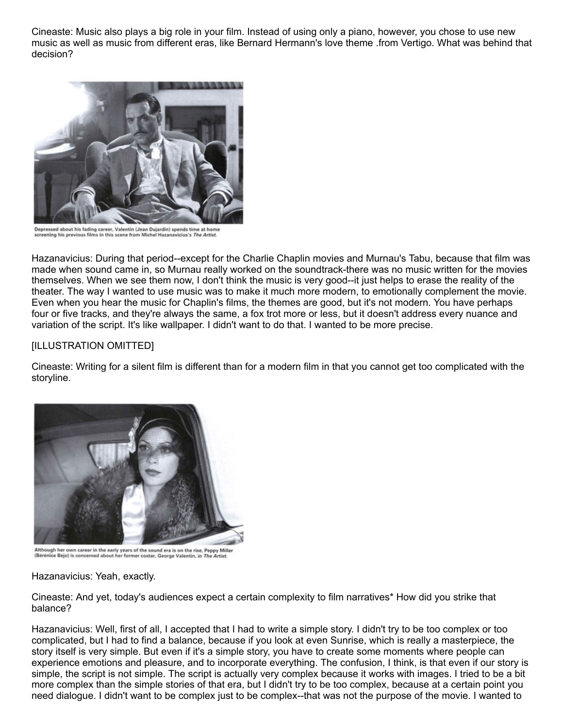Cineaste: Music also plays a big role in your film. Instead of using only a piano, however, you chose to use new music as well as music from different eras, like Bernard Hermann's love theme .from Vertigo. What was behind that decision?



Depressed about his fading career, Valentin (Jean Dujardin) spends time at home screening his previous films in this scene from Michel Hazanavicius's The Artist.

Hazanavicius: During that period--except for the Charlie Chaplin movies and Murnau's Tabu, because that film was made when sound came in, so Murnau really worked on the soundtrack-there was no music written for the movies themselves. When we see them now, I don't think the music is very good--it just helps to erase the reality of the theater. The way I wanted to use music was to make it much more modern, to emotionally complement the movie. Even when you hear the music for Chaplin's films, the themes are good, but it's not modern. You have perhaps four or five tracks, and they're always the same, a fox trot more or less, but it doesn't address every nuance and variation of the script. It's like wallpaper. I didn't want to do that. I wanted to be more precise.

#### [ILLUSTRATION OMITTED]

Cineaste: Writing for a silent film is different than for a modern film in that you cannot get too complicated with the storyline.



Although her own career in the early years of the sound era is on the rise, Peppy Miller<br>(Bérénice Bejo) is concerned about her former costar, George Valentin, in The Artist.

#### Hazanavicius: Yeah, exactly.

Cineaste: And yet, today's audiences expect a certain complexity to film narratives\* How did you strike that balance?

Hazanavicius: Well, first of all, I accepted that I had to write a simple story. I didn't try to be too complex or too complicated, but I had to find a balance, because if you look at even Sunrise, which is really a masterpiece, the story itself is very simple. But even if it's a simple story, you have to create some moments where people can experience emotions and pleasure, and to incorporate everything. The confusion, I think, is that even if our story is simple, the script is not simple. The script is actually very complex because it works with images. I tried to be a bit more complex than the simple stories of that era, but I didn't try to be too complex, because at a certain point you need dialogue. I didn't want to be complex just to be complex--that was not the purpose of the movie. I wanted to